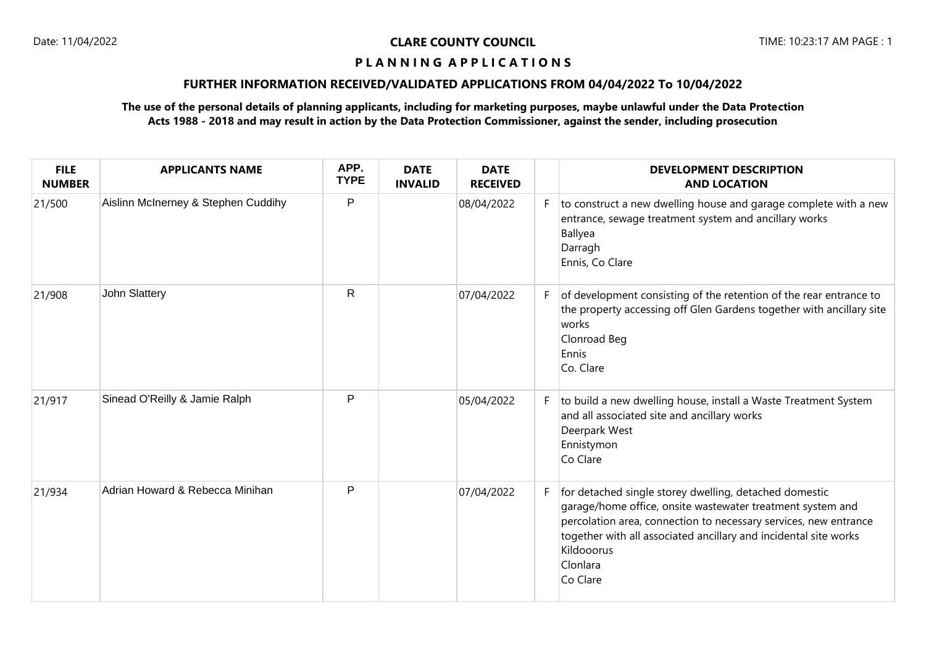## **P L A N N I N G A P P L I C A T I O N S**

## **FURTHER INFORMATION RECEIVED/VALIDATED APPLICATIONS FROM 04/04/2022 To 10/04/2022**

## **The use of the personal details of planning applicants, including for marketing purposes, maybe unlawful under the Data Protection Acts 1988 - 2018 and may result in action by the Data Protection Commissioner, against the sender, including prosecution**

| <b>FILE</b><br><b>NUMBER</b> | <b>APPLICANTS NAME</b>              | APP.<br><b>TYPE</b> | <b>DATE</b><br><b>INVALID</b> | <b>DATE</b><br><b>RECEIVED</b> |    | <b>DEVELOPMENT DESCRIPTION</b><br><b>AND LOCATION</b>                                                                                                                                                                                                                                              |
|------------------------------|-------------------------------------|---------------------|-------------------------------|--------------------------------|----|----------------------------------------------------------------------------------------------------------------------------------------------------------------------------------------------------------------------------------------------------------------------------------------------------|
| 21/500                       | Aislinn McInerney & Stephen Cuddihy | $\mathsf{P}$        |                               | 08/04/2022                     | F. | to construct a new dwelling house and garage complete with a new<br>entrance, sewage treatment system and ancillary works<br>Ballyea<br>Darragh<br>Ennis, Co Clare                                                                                                                                 |
| 21/908                       | John Slattery                       | $\mathsf{R}$        |                               | 07/04/2022                     | F. | of development consisting of the retention of the rear entrance to<br>the property accessing off Glen Gardens together with ancillary site<br>works<br>Clonroad Beg<br>Ennis<br>Co. Clare                                                                                                          |
| 21/917                       | Sinead O'Reilly & Jamie Ralph       | P                   |                               | 05/04/2022                     | F. | to build a new dwelling house, install a Waste Treatment System<br>and all associated site and ancillary works<br>Deerpark West<br>Ennistymon<br>Co Clare                                                                                                                                          |
| 21/934                       | Adrian Howard & Rebecca Minihan     | $\mathsf{P}$        |                               | 07/04/2022                     | F  | for detached single storey dwelling, detached domestic<br>garage/home office, onsite wastewater treatment system and<br>percolation area, connection to necessary services, new entrance<br>together with all associated ancillary and incidental site works<br>Kildooorus<br>Clonlara<br>Co Clare |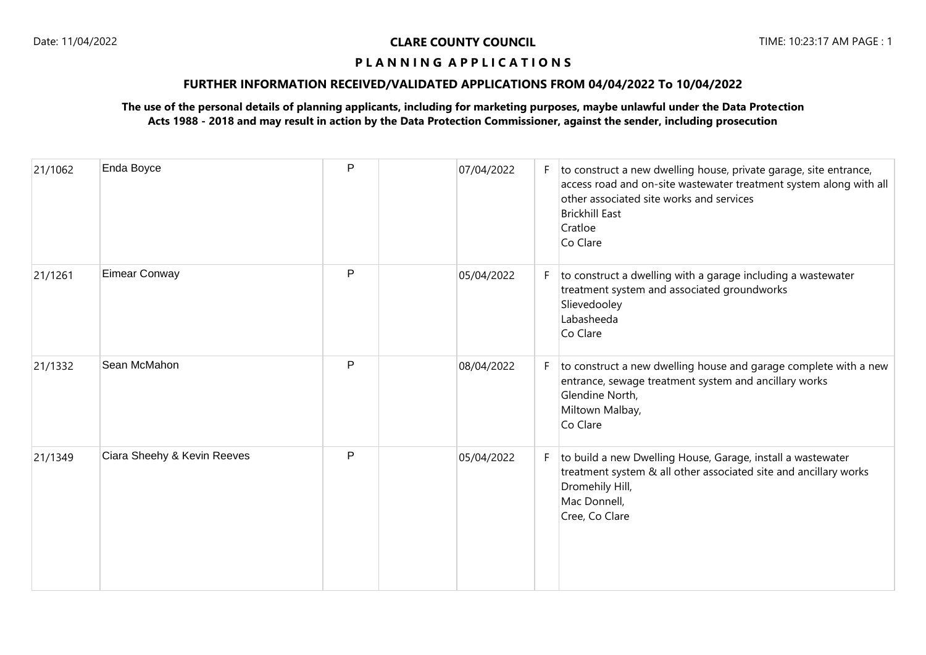## **P L A N N I N G A P P L I C A T I O N S**

## **FURTHER INFORMATION RECEIVED/VALIDATED APPLICATIONS FROM 04/04/2022 To 10/04/2022**

## **The use of the personal details of planning applicants, including for marketing purposes, maybe unlawful under the Data Protection Acts 1988 - 2018 and may result in action by the Data Protection Commissioner, against the sender, including prosecution**

| 21/1062 | Enda Boyce                  | P | 07/04/2022 | F. | to construct a new dwelling house, private garage, site entrance,<br>access road and on-site wastewater treatment system along with all<br>other associated site works and services<br><b>Brickhill East</b><br>Cratloe<br>Co Clare |
|---------|-----------------------------|---|------------|----|-------------------------------------------------------------------------------------------------------------------------------------------------------------------------------------------------------------------------------------|
| 21/1261 | Eimear Conway               | P | 05/04/2022 | F. | to construct a dwelling with a garage including a wastewater<br>treatment system and associated groundworks<br>Slievedooley<br>Labasheeda<br>Co Clare                                                                               |
| 21/1332 | Sean McMahon                | P | 08/04/2022 | F. | to construct a new dwelling house and garage complete with a new<br>entrance, sewage treatment system and ancillary works<br>Glendine North,<br>Miltown Malbay,<br>Co Clare                                                         |
| 21/1349 | Ciara Sheehy & Kevin Reeves | P | 05/04/2022 | F  | to build a new Dwelling House, Garage, install a wastewater<br>treatment system & all other associated site and ancillary works<br>Dromehily Hill,<br>Mac Donnell,<br>Cree, Co Clare                                                |